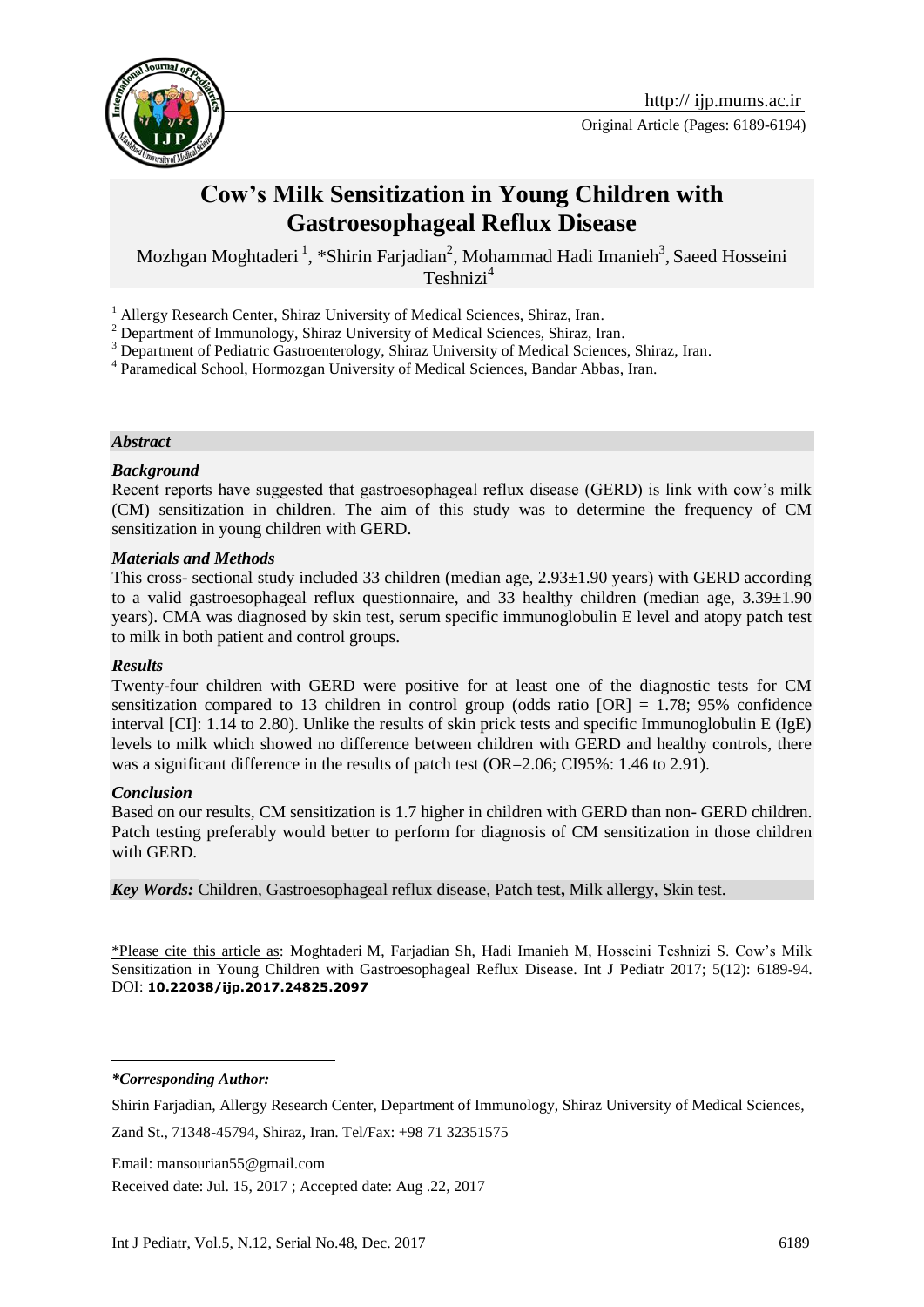

# **Cow's Milk Sensitization in Young Children with Gastroesophageal Reflux Disease**

Mozhgan Moghtaderi<sup>1</sup>, \*Shirin Farjadian<sup>2</sup>, Mohammad Hadi Imanieh<sup>3</sup>, Saeed Hosseini Teshnizi<sup>4</sup>

<sup>1</sup> Allergy Research Center, Shiraz University of Medical Sciences, Shiraz, Iran.

<sup>2</sup> Department of Immunology, Shiraz University of Medical Sciences, Shiraz, Iran.

<sup>3</sup> Department of Pediatric Gastroenterology, Shiraz University of Medical Sciences, Shiraz, Iran.

<sup>4</sup> Paramedical School, Hormozgan University of Medical Sciences, Bandar Abbas, Iran.

#### *Abstract*

#### *Background*

Recent reports have suggested that gastroesophageal reflux disease (GERD) is link with cow's milk (CM) sensitization in children. The aim of this study was to determine the frequency of CM sensitization in young children with GERD.

#### *Materials and Methods*

This cross- sectional study included 33 children (median age, 2.93±1.90 years) with GERD according to a valid gastroesophageal reflux questionnaire, and 33 healthy children (median age, 3.39±1.90 years). CMA was diagnosed by skin test, serum specific immunoglobulin E level and atopy patch test to milk in both patient and control groups.

#### *Results*

Twenty-four children with GERD were positive for at least one of the diagnostic tests for CM sensitization compared to 13 children in control group (odds ratio  $[OR] = 1.78$ ; 95% confidence interval [CI]: 1.14 to 2.80). Unlike the results of skin prick tests and specific Immunoglobulin E (IgE) levels to milk which showed no difference between children with GERD and healthy controls, there was a significant difference in the results of patch test (OR=2.06; CI95%: 1.46 to 2.91).

#### *Conclusion*

Based on our results, CM sensitization is 1.7 higher in children with GERD than non- GERD children. Patch testing preferably would better to perform for diagnosis of CM sensitization in those children with GERD.

*Key Words:* Children, Gastroesophageal reflux disease, Patch test**,** Milk allergy, Skin test.

\*Please cite this article as: Moghtaderi M, Farjadian Sh, Hadi Imanieh M, Hosseini Teshnizi S. Cow's Milk Sensitization in Young Children with Gastroesophageal Reflux Disease. Int J Pediatr 2017; 5(12): 6189-94. DOI: **10.22038/ijp.2017.24825.2097**

*\*Corresponding Author:*

1

Shirin Farjadian, Allergy Research Center, Department of Immunology, Shiraz University of Medical Sciences,

Zand St., 71348-45794, Shiraz, Iran. Tel/Fax: +98 71 32351575

Email: mansourian55@gmail.com

Received date: Jul. 15, 2017 ; Accepted date: Aug .22, 2017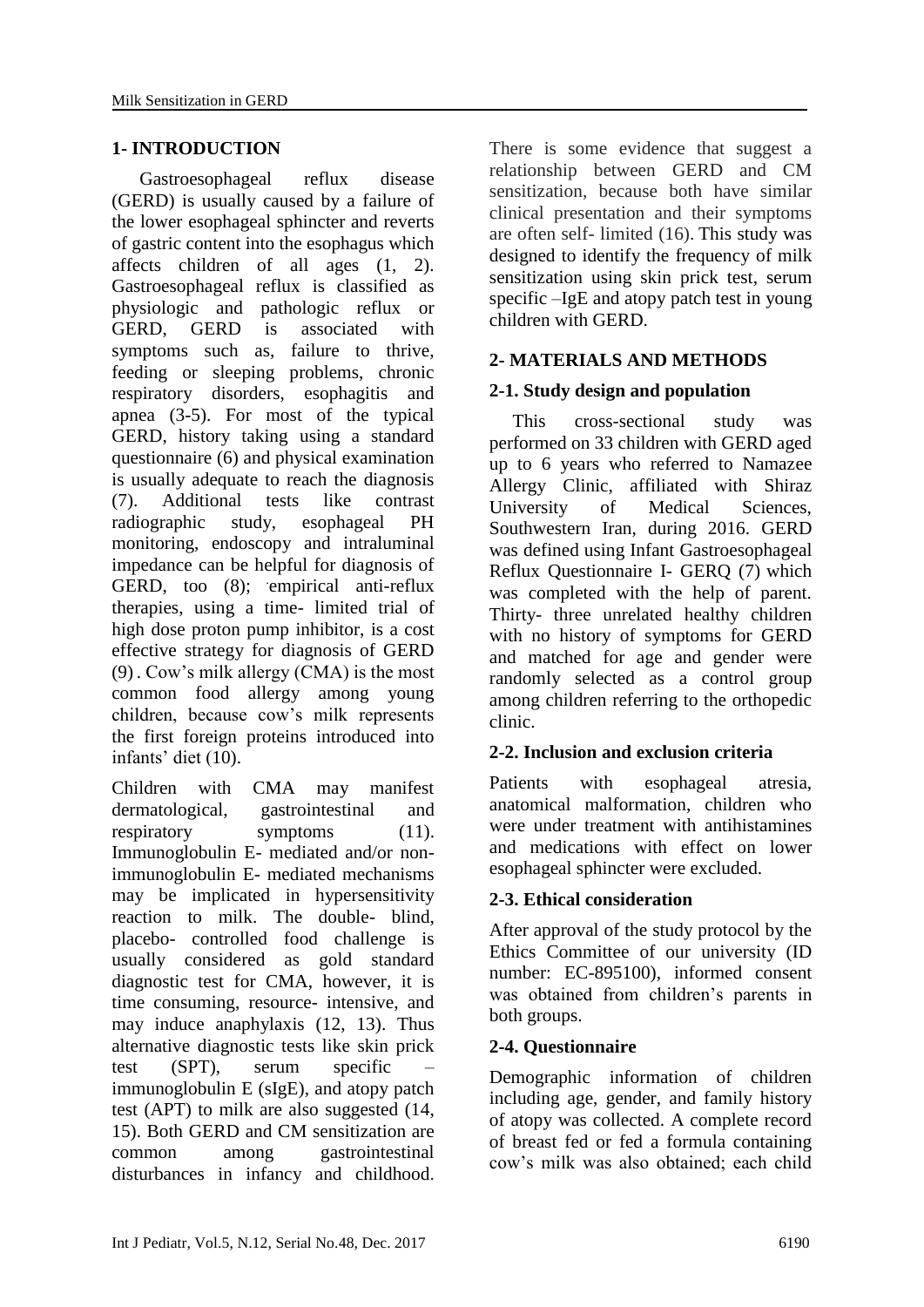# **1- INTRODUCTION**

 Gastroesophageal reflux disease (GERD) is usually caused by a failure of the lower esophageal sphincter and reverts of gastric content into the esophagus which affects children of all ages (1, 2). Gastroesophageal reflux is classified as physiologic and pathologic reflux or GERD, GERD is associated with symptoms such as, failure to thrive, feeding or sleeping problems, chronic respiratory disorders, esophagitis and apnea (3-5). For most of the typical GERD, history taking using a standard questionnaire (6) and physical examination is usually adequate to reach the diagnosis (7). Additional tests like contrast radiographic study, esophageal PH monitoring, endoscopy and intraluminal impedance can be helpful for diagnosis of GERD, too (8); empirical anti-reflux therapies, using a time- limited trial of high dose proton pump inhibitor, is a cost effective strategy for diagnosis of GERD (9) . Cow's milk allergy (CMA) is the most common food allergy among young children, because cow's milk represents the first foreign proteins introduced into infants' diet (10).

Children with CMA may manifest dermatological, gastrointestinal and respiratory symptoms (11). Immunoglobulin E- mediated and/or nonimmunoglobulin E- mediated mechanisms may be implicated in hypersensitivity reaction to milk. The double- blind, placebo- controlled food challenge is usually considered as gold standard diagnostic test for CMA, however, it is time consuming, resource- intensive, and may induce anaphylaxis (12, 13). Thus alternative diagnostic tests like skin prick test (SPT), serum specific – immunoglobulin E (sIgE), and atopy patch test (APT) to milk are also suggested (14, 15). Both GERD and CM sensitization are common among gastrointestinal disturbances in infancy and childhood.

There is some evidence that suggest a relationship between GERD and CM sensitization, because both have similar clinical presentation and their symptoms are often self- limited (16). This study was designed to identify the frequency of milk sensitization using skin prick test, serum specific –IgE and atopy patch test in young children with GERD.

# **2- MATERIALS AND METHODS**

# **2-1. Study design and population**

 This cross-sectional study was performed on 33 children with GERD aged up to 6 years who referred to Namazee Allergy Clinic, affiliated with Shiraz University of Medical Sciences, Southwestern Iran, during 2016. GERD was defined using Infant Gastroesophageal Reflux Questionnaire I- GERQ (7) which was completed with the help of parent. Thirty- three unrelated healthy children with no history of symptoms for GERD and matched for age and gender were randomly selected as a control group among children referring to the orthopedic clinic.

# **2-2. Inclusion and exclusion criteria**

Patients with esophageal atresia, anatomical malformation, children who were under treatment with antihistamines and medications with effect on lower esophageal sphincter were excluded.

### **2-3. Ethical consideration**

After approval of the study protocol by the Ethics Committee of our university (ID number: EC-895100), informed consent was obtained from children's parents in both groups.

### **2-4. Questionnaire**

Demographic information of children including age, gender, and family history of atopy was collected. A complete record of breast fed or fed a formula containing cow's milk was also obtained; each child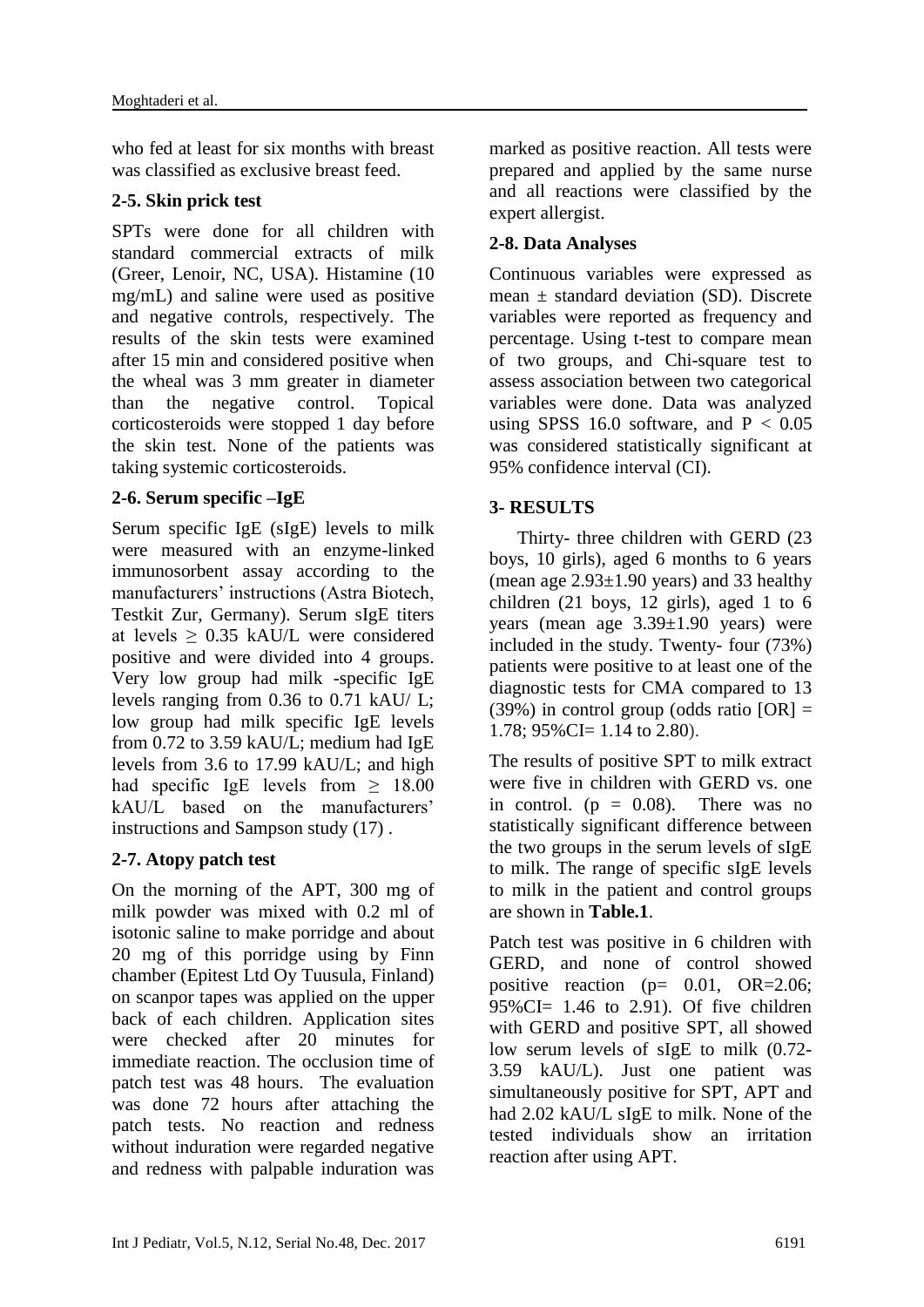who fed at least for six months with breast was classified as exclusive breast feed.

# **2-5. Skin prick test**

SPTs were done for all children with standard commercial extracts of milk (Greer, Lenoir, NC, USA). Histamine (10 mg/mL) and saline were used as positive and negative controls, respectively. The results of the skin tests were examined after 15 min and considered positive when the wheal was 3 mm greater in diameter than the negative control. Topical corticosteroids were stopped 1 day before the skin test. None of the patients was taking systemic corticosteroids.

# **2-6. Serum specific –IgE**

Serum specific IgE (sIgE) levels to milk were measured with an enzyme-linked immunosorbent assay according to the manufacturers' instructions (Astra Biotech, Testkit Zur, Germany). Serum sIgE titers at levels ≥ 0.35 kAU/L were considered positive and were divided into 4 groups. Very low group had milk -specific IgE levels ranging from 0.36 to 0.71 kAU/ L; low group had milk specific IgE levels from 0.72 to 3.59 kAU/L; medium had IgE levels from 3.6 to 17.99 kAU/L; and high had specific IgE levels from  $\geq$  18.00 kAU/L based on the manufacturers' instructions and Sampson study (17) .

# **2-7. Atopy patch test**

On the morning of the APT, 300 mg of milk powder was mixed with 0.2 ml of isotonic saline to make porridge and about 20 mg of this porridge using by Finn chamber (Epitest Ltd Oy Tuusula, Finland) on scanpor tapes was applied on the upper back of each children. Application sites were checked after 20 minutes for immediate reaction. The occlusion time of patch test was 48 hours. The evaluation was done 72 hours after attaching the patch tests. No reaction and redness without induration were regarded negative and redness with palpable induration was marked as positive reaction. All tests were prepared and applied by the same nurse and all reactions were classified by the expert allergist.

# **2-8. Data Analyses**

Continuous variables were expressed as mean  $\pm$  standard deviation (SD). Discrete variables were reported as frequency and percentage. Using t-test to compare mean of two groups, and Chi-square test to assess association between two categorical variables were done. Data was analyzed using SPSS 16.0 software, and  $P < 0.05$ was considered statistically significant at 95% confidence interval (CI).

# **3- RESULTS**

 Thirty- three children with GERD (23 boys, 10 girls), aged 6 months to 6 years (mean age  $2.93\pm1.90$  years) and 33 healthy children (21 boys, 12 girls), aged 1 to 6 years (mean age 3.39±1.90 years) were included in the study. Twenty- four (73%) patients were positive to at least one of the diagnostic tests for CMA compared to 13  $(39\%)$  in control group (odds ratio  $[OR] =$  $1.78$ ;  $95\%$  CI= 1.14 to 2.80).

The results of positive SPT to milk extract were five in children with GERD vs. one in control. ( $p = 0.08$ ). There was no statistically significant difference between the two groups in the serum levels of sIgE to milk. The range of specific sIgE levels to milk in the patient and control groups are shown in **Table.1**.

Patch test was positive in 6 children with GERD, and none of control showed positive reaction ( $p=$  0.01, OR=2.06;  $95\%$ CI= 1.46 to 2.91). Of five children with GERD and positive SPT, all showed low serum levels of sIgE to milk (0.72- 3.59 kAU/L). Just one patient was simultaneously positive for SPT, APT and had 2.02 kAU/L sIgE to milk. None of the tested individuals show an irritation reaction after using APT.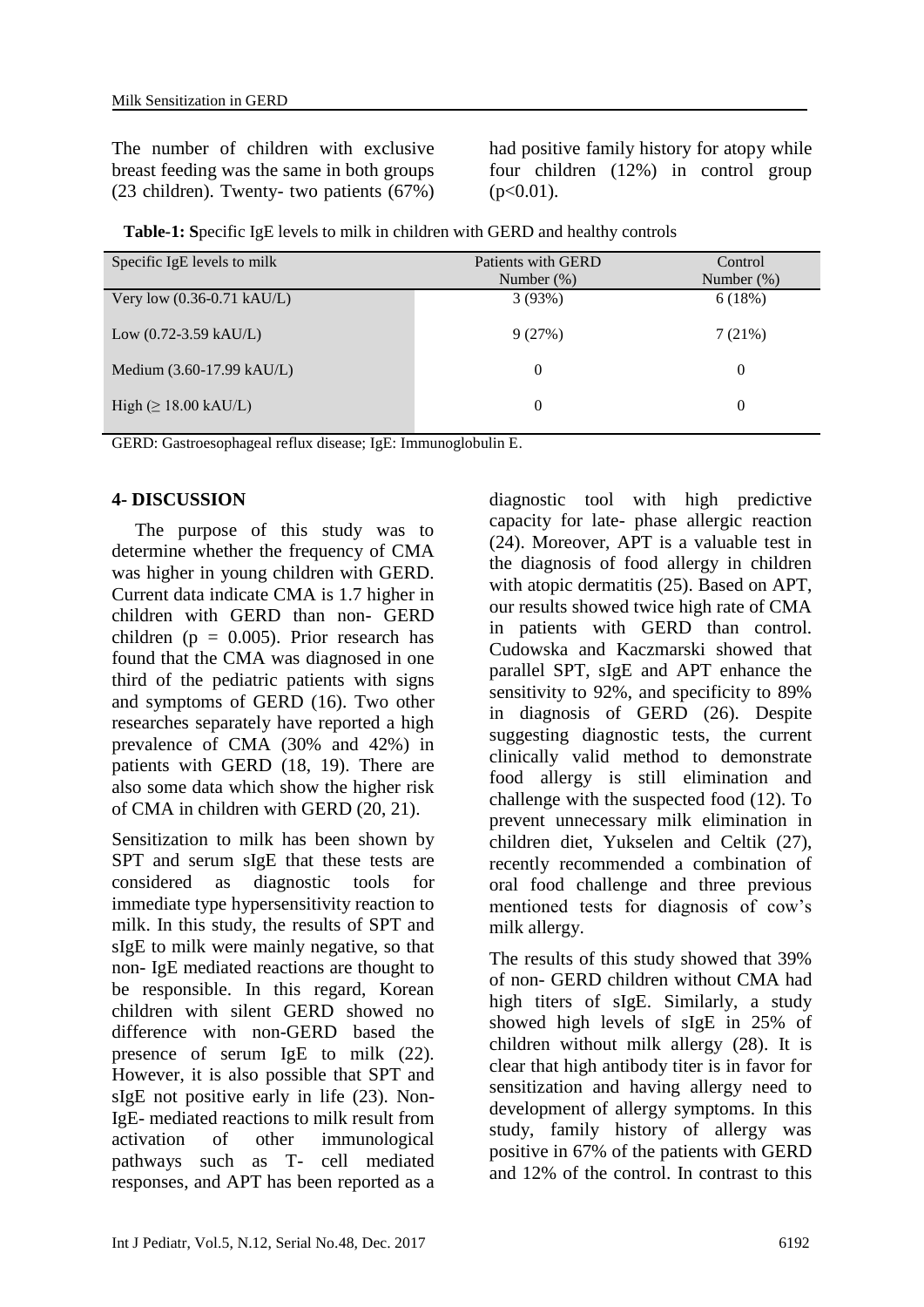The number of children with exclusive breast feeding was the same in both groups (23 children). Twenty- two patients (67%) had positive family history for atopy while four children (12%) in control group  $(p<0.01)$ .

**Table-1: S**pecific IgE levels to milk in children with GERD and healthy controls

| Specific IgE levels to milk         | Patients with GERD<br>Number $(\%)$ | Control<br>Number $(\%)$ |
|-------------------------------------|-------------------------------------|--------------------------|
| Very low (0.36-0.71 kAU/L)          | 3(93%)                              | 6(18%)                   |
| Low $(0.72 - 3.59 \text{ kAU/L})$   | 9(27%)                              | 7(21%)                   |
| Medium $(3.60-17.99 \text{ kAU/L})$ | $\Omega$                            | $\theta$                 |
| High $(\geq 18.00 \text{ kAU/L})$   | $\theta$                            | $\overline{0}$           |

GERD: Gastroesophageal reflux disease; IgE: Immunoglobulin E.

# **4- DISCUSSION**

 The purpose of this study was to determine whether the frequency of CMA was higher in young children with GERD. Current data indicate CMA is 1.7 higher in children with GERD than non- GERD children ( $p = 0.005$ ). Prior research has found that the CMA was diagnosed in one third of the pediatric patients with signs and symptoms of GERD (16). Two other researches separately have reported a high prevalence of CMA (30% and 42%) in patients with GERD (18, 19). There are also some data which show the higher risk of CMA in children with GERD (20, 21).

Sensitization to milk has been shown by SPT and serum sIgE that these tests are considered as diagnostic tools for immediate type hypersensitivity reaction to milk. In this study, the results of SPT and sIgE to milk were mainly negative, so that non- IgE mediated reactions are thought to be responsible. In this regard, Korean children with silent GERD showed no difference with non-GERD based the presence of serum IgE to milk (22). However, it is also possible that SPT and sIgE not positive early in life (23). Non-IgE- mediated reactions to milk result from activation of other immunological pathways such as T- cell mediated responses, and APT has been reported as a

diagnostic tool with high predictive capacity for late- phase allergic reaction (24). Moreover, APT is a valuable test in the diagnosis of food allergy in children with atopic dermatitis (25). Based on APT, our results showed twice high rate of CMA in patients with GERD than control. Cudowska and Kaczmarski showed that parallel SPT, sIgE and APT enhance the sensitivity to 92%, and specificity to 89% in diagnosis of GERD (26). Despite suggesting diagnostic tests, the current clinically valid method to demonstrate food allergy is still elimination and challenge with the suspected food (12). To prevent unnecessary milk elimination in children diet, Yukselen and Celtik (27), recently recommended a combination of oral food challenge and three previous mentioned tests for diagnosis of cow's milk allergy.

The results of this study showed that 39% of non- GERD children without CMA had high titers of sIgE. Similarly, a study showed high levels of sIgE in 25% of children without milk allergy (28). It is clear that high antibody titer is in favor for sensitization and having allergy need to development of allergy symptoms. In this study, family history of allergy was positive in 67% of the patients with GERD and 12% of the control. In contrast to this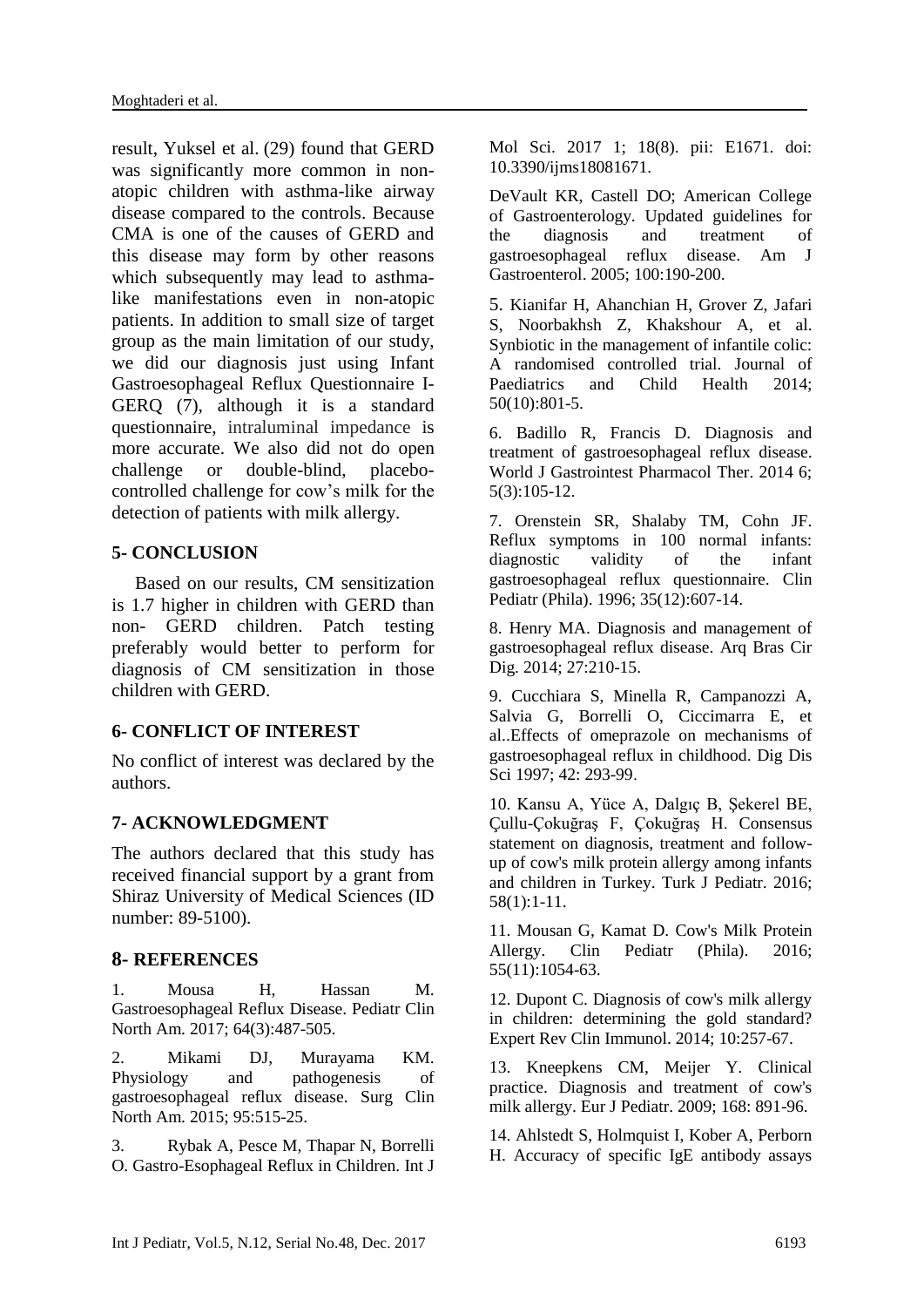result, Yuksel et al. (29) found that GERD was significantly more common in nonatopic children with asthma-like airway disease compared to the controls. Because CMA is one of the causes of GERD and this disease may form by other reasons which subsequently may lead to asthmalike manifestations even in non-atopic patients. In addition to small size of target group as the main limitation of our study, we did our diagnosis just using Infant Gastroesophageal Reflux Questionnaire I-GERQ (7), although it is a standard questionnaire, intraluminal impedance is more accurate. We also did not do open challenge or double-blind, placebocontrolled challenge for cow's milk for the detection of patients with milk allergy.

# **5- CONCLUSION**

 Based on our results, CM sensitization is 1.7 higher in children with GERD than non- GERD children. Patch testing preferably would better to perform for diagnosis of CM sensitization in those children with GERD.

### **6- CONFLICT OF INTEREST**

No conflict of interest was declared by the authors.

### **7- ACKNOWLEDGMENT**

The authors declared that this study has received financial support by a grant from Shiraz University of Medical Sciences (ID number: 89-5100).

### **8- REFERENCES**

1. Mousa H, Hassan M. Gastroesophageal Reflux Disease. Pediatr Clin North Am. 2017; 64(3):487-505.

2. Mikami DJ, Murayama KM. Physiology and pathogenesis of gastroesophageal reflux disease. Surg Clin North Am. 2015; 95:515-25.

3. Rybak A, Pesce M, Thapar N, Borrelli O. Gastro-Esophageal Reflux in Children. Int J Mol Sci. 2017 1; 18(8). pii: E1671. doi: 10.3390/ijms18081671.

DeVault KR, Castell DO; American College of Gastroenterology. Updated guidelines for the diagnosis and treatment of gastroesophageal reflux disease. Am J Gastroenterol. 2005; 100:190-200.

5. [Kianifar H,](https://www.scopus.com/authid/detail.uri?authorId=29067925900&eid=2-s2.0-84908247473) [Ahanchian H,](https://www.scopus.com/authid/detail.uri?authorId=21833701600&eid=2-s2.0-84908247473) [Grover Z,](https://www.scopus.com/authid/detail.uri?authorId=16301181100&eid=2-s2.0-84908247473) [Jafari](https://www.scopus.com/authid/detail.uri?authorId=55442873400&eid=2-s2.0-84908247473)  [S,](https://www.scopus.com/authid/detail.uri?authorId=55442873400&eid=2-s2.0-84908247473) [Noorbakhsh Z,](https://www.scopus.com/authid/detail.uri?authorId=56222140900&eid=2-s2.0-84908247473) [Khakshour A,](https://www.scopus.com/authid/detail.uri?authorId=55550328600&eid=2-s2.0-84908247473) et al. Synbiotic in the management of infantile colic: A randomised controlled trial. [Journal of](https://www.scopus.com/sourceid/15108?origin=recordpage)  [Paediatrics and Child Health](https://www.scopus.com/sourceid/15108?origin=recordpage) 2014; 50(10):801-5.

6. Badillo R, Francis D. Diagnosis and treatment of gastroesophageal reflux disease. World J Gastrointest Pharmacol Ther. 2014 6; 5(3):105-12.

7. Orenstein SR, Shalaby TM, Cohn JF. Reflux symptoms in 100 normal infants: diagnostic validity of the infant gastroesophageal reflux questionnaire. Clin Pediatr (Phila). 1996; 35(12):607-14.

8. Henry MA. Diagnosis and management of gastroesophageal reflux disease. Arq Bras Cir Dig. 2014; 27:210-15.

9. Cucchiara S, Minella R, Campanozzi A, Salvia G, Borrelli O, Ciccimarra E, et al..Effects of omeprazole on mechanisms of gastroesophageal reflux in childhood. Dig Dis Sci 1997; 42: 293-99.

10. Kansu A, Yüce A, Dalgıç B, Şekerel BE, Çullu-Çokuğraş F, Çokuğraş H. Consensus statement on diagnosis, treatment and followup of cow's milk protein allergy among infants and children in Turkey. Turk J Pediatr. 2016; 58(1):1-11.

11. Mousan G, Kamat D. Cow's Milk Protein Allergy. Clin Pediatr (Phila). 2016; 55(11):1054-63.

12. Dupont C. Diagnosis of cow's milk allergy in children: determining the gold standard? Expert Rev Clin Immunol. 2014; 10:257-67.

13. Kneepkens CM, Meijer Y. Clinical practice. Diagnosis and treatment of cow's milk allergy. Eur J Pediatr. 2009; 168: 891-96.

14. Ahlstedt S, Holmquist I, Kober A, Perborn H. Accuracy of specific IgE antibody assays